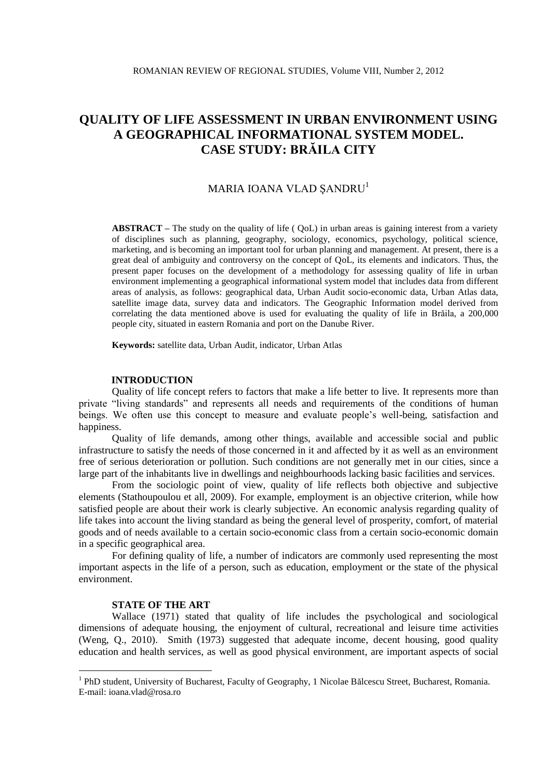# **QUALITY OF LIFE ASSESSMENT IN URBAN ENVIRONMENT USING A GEOGRAPHICAL INFORMATIONAL SYSTEM MODEL. CASE STUDY: BRĂILA CITY**

## MARIA IOANA VLAD SANDRU<sup>1</sup>

**ABSTRACT –** The study on the quality of life ( QoL) in urban areas is gaining interest from a variety of disciplines such as planning, geography, sociology, economics, psychology, political science, marketing, and is becoming an important tool for urban planning and management. At present, there is a great deal of ambiguity and controversy on the concept of QoL, its elements and indicators. Thus, the present paper focuses on the development of a methodology for assessing quality of life in urban environment implementing a geographical informational system model that includes data from different areas of analysis, as follows: geographical data, Urban Audit socio-economic data, Urban Atlas data, satellite image data, survey data and indicators. The Geographic Information model derived from correlating the data mentioned above is used for evaluating the quality of life in Brăila, a 200,000 people city, situated in eastern Romania and port on the Danube River.

**Keywords:** satellite data, Urban Audit, indicator, Urban Atlas

## **INTRODUCTION**

Quality of life concept refers to factors that make a life better to live. It represents more than private "living standards" and represents all needs and requirements of the conditions of human beings. We often use this concept to measure and evaluate people's well-being, satisfaction and happiness.

Quality of life demands, among other things, available and accessible social and public infrastructure to satisfy the needs of those concerned in it and affected by it as well as an environment free of serious deterioration or pollution. Such conditions are not generally met in our cities, since a large part of the inhabitants live in dwellings and neighbourhoods lacking basic facilities and services.

From the sociologic point of view, quality of life reflects both objective and subjective elements (Stathoupoulou et all, 2009). For example, employment is an objective criterion, while how satisfied people are about their work is clearly subjective. An economic analysis regarding quality of life takes into account the living standard as being the general level of prosperity, comfort, of material goods and of needs available to a certain socio-economic class from a certain socio-economic domain in a specific geographical area.

For defining quality of life, a number of indicators are commonly used representing the most important aspects in the life of a person, such as education, employment or the state of the physical environment.

## **STATE OF THE ART**

<u>.</u>

Wallace (1971) stated that quality of life includes the psychological and sociological dimensions of adequate housing, the enjoyment of cultural, recreational and leisure time activities (Weng, Q., 2010). Smith (1973) suggested that adequate income, decent housing, good quality education and health services, as well as good physical environment, are important aspects of social

<sup>&</sup>lt;sup>1</sup> PhD student, University of Bucharest, Faculty of Geography, 1 Nicolae Bălcescu Street, Bucharest, Romania. E-mail: ioana.vlad@rosa.ro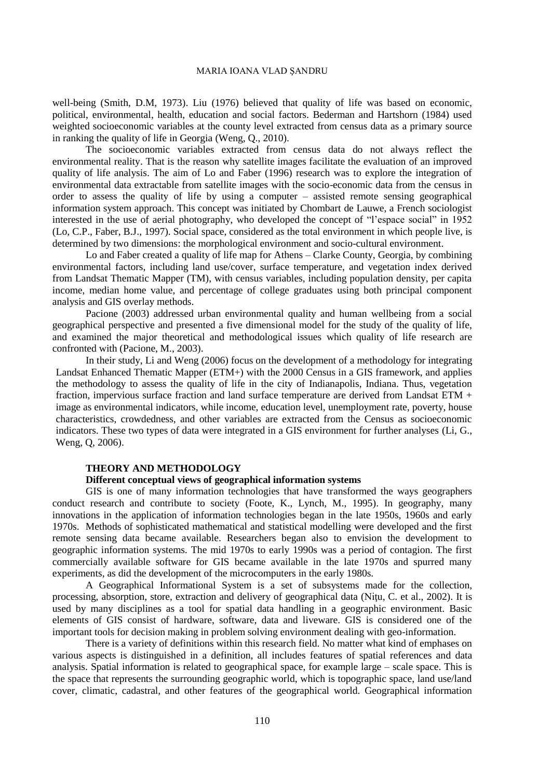well-being (Smith, D.M, 1973). Liu (1976) believed that quality of life was based on economic, political, environmental, health, education and social factors. Bederman and Hartshorn (1984) used weighted socioeconomic variables at the county level extracted from census data as a primary source in ranking the quality of life in Georgia (Weng, Q., 2010).

The socioeconomic variables extracted from census data do not always reflect the environmental reality. That is the reason why satellite images facilitate the evaluation of an improved quality of life analysis. The aim of Lo and Faber (1996) research was to explore the integration of environmental data extractable from satellite images with the socio-economic data from the census in order to assess the quality of life by using a computer – assisted remote sensing geographical information system approach. This concept was initiated by Chombart de Lauwe, a French sociologist interested in the use of aerial photography, who developed the concept of "l'espace social" in 1952 (Lo, C.P., Faber, B.J., 1997). Social space, considered as the total environment in which people live, is determined by two dimensions: the morphological environment and socio-cultural environment.

Lo and Faber created a quality of life map for Athens – Clarke County, Georgia, by combining environmental factors, including land use/cover, surface temperature, and vegetation index derived from Landsat Thematic Mapper (TM), with census variables, including population density, per capita income, median home value, and percentage of college graduates using both principal component analysis and GIS overlay methods.

Pacione (2003) addressed urban environmental quality and human wellbeing from a social geographical perspective and presented a five dimensional model for the study of the quality of life, and examined the major theoretical and methodological issues which quality of life research are confronted with (Pacione, M., 2003).

In their study, Li and Weng (2006) focus on the development of a methodology for integrating Landsat Enhanced Thematic Mapper (ETM+) with the 2000 Census in a GIS framework, and applies the methodology to assess the quality of life in the city of Indianapolis, Indiana. Thus, vegetation fraction, impervious surface fraction and land surface temperature are derived from Landsat ETM + image as environmental indicators, while income, education level, unemployment rate, poverty, house characteristics, crowdedness, and other variables are extracted from the Census as socioeconomic indicators. These two types of data were integrated in a GIS environment for further analyses (Li, G., Weng, Q, 2006).

## **THEORY AND METHODOLOGY**

## **Different conceptual views of geographical information systems**

GIS is one of many information technologies that have transformed the ways geographers conduct research and contribute to society (Foote, K., Lynch, M., 1995). In geography, many innovations in the application of information technologies began in the late 1950s, 1960s and early 1970s. Methods of sophisticated mathematical and statistical modelling were developed and the first remote sensing data became available. Researchers began also to envision the development to geographic information systems. The mid 1970s to early 1990s was a period of contagion. The first commercially available software for GIS became available in the late 1970s and spurred many experiments, as did the development of the microcomputers in the early 1980s.

A Geographical Informational System is a set of subsystems made for the collection, processing, absorption, store, extraction and delivery of geographical data (Niţu, C. et al., 2002). It is used by many disciplines as a tool for spatial data handling in a geographic environment. Basic elements of GIS consist of hardware, software, data and liveware. GIS is considered one of the important tools for decision making in problem solving environment dealing with geo-information.

There is a variety of definitions within this research field. No matter what kind of emphases on various aspects is distinguished in a definition, all includes features of spatial references and data analysis. Spatial information is related to geographical space, for example large – scale space. This is the space that represents the surrounding geographic world, which is topographic space, land use/land cover, climatic, cadastral, and other features of the geographical world. Geographical information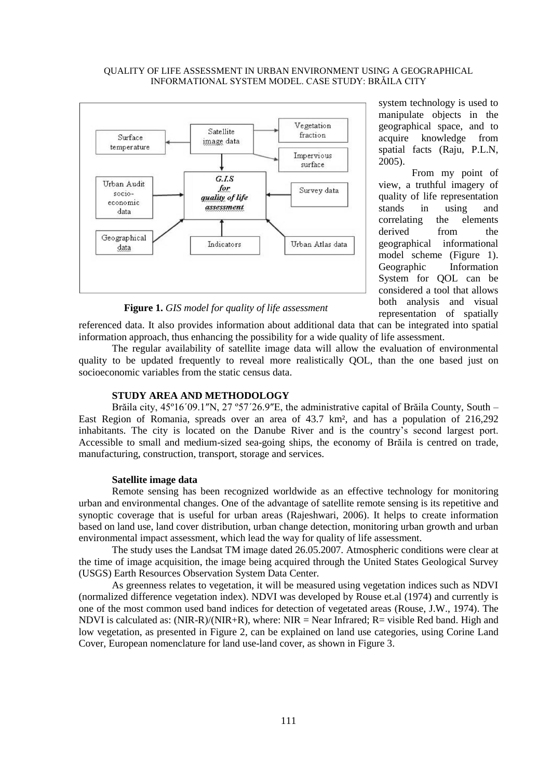### QUALITY OF LIFE ASSESSMENT IN URBAN ENVIRONMENT USING A GEOGRAPHICAL INFORMATIONAL SYSTEM MODEL. CASE STUDY: BRĂILA CITY



system technology is used to manipulate objects in the geographical space, and to acquire knowledge from spatial facts (Raju, P.L.N, 2005).

From my point of view, a truthful imagery of quality of life representation stands in using and correlating the elements derived from the geographical informational model scheme (Figure 1). Geographic Information System for QOL can be considered a tool that allows both analysis and visual representation of spatially

**Figure 1.** *GIS model for quality of life assessment*

referenced data. It also provides information about additional data that can be integrated into spatial information approach, thus enhancing the possibility for a wide quality of life assessment.

The regular availability of satellite image data will allow the evaluation of environmental quality to be updated frequently to reveal more realistically QOL, than the one based just on socioeconomic variables from the static census data.

## **STUDY AREA AND METHODOLOGY**

Brăila city, 45°16´09.1″N, 27 °57´26.9″E, the administrative capital of Brăila County, South – East Region of Romania, spreads over an area of 43.7 km², and has a population of 216,292 inhabitants. The city is located on the Danube River and is the country's second largest port. Accessible to small and medium-sized sea-going ships, the economy of Brăila is centred on trade, manufacturing, construction, transport, storage and services.

#### **Satellite image data**

Remote sensing has been recognized worldwide as an effective technology for monitoring urban and environmental changes. One of the advantage of satellite remote sensing is its repetitive and synoptic coverage that is useful for urban areas (Rajeshwari, 2006). It helps to create information based on land use, land cover distribution, urban change detection, monitoring urban growth and urban environmental impact assessment, which lead the way for quality of life assessment.

The study uses the Landsat TM image dated 26.05.2007. Atmospheric conditions were clear at the time of image acquisition, the image being acquired through the United States Geological Survey (USGS) Earth Resources Observation System Data Center.

As greenness relates to vegetation, it will be measured using vegetation indices such as NDVI (normalized difference vegetation index). NDVI was developed by Rouse et.al (1974) and currently is one of the most common used band indices for detection of vegetated areas (Rouse, J.W., 1974). The NDVI is calculated as:  $(NIR-R)/(NIR+R)$ , where:  $NIR = Near Infrared$ ;  $R = visible Red band$ . High and low vegetation, as presented in Figure 2, can be explained on land use categories, using Corine Land Cover, European nomenclature for land use-land cover, as shown in Figure 3.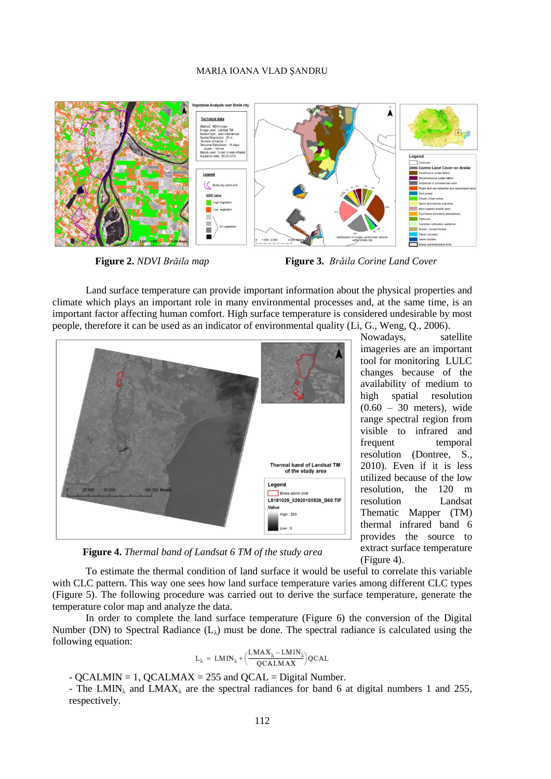

**Figure 2.** *NDVI Brăila map* **Figure 3.** *Brăila Corine Land Cover*

Land surface temperature can provide important information about the physical properties and climate which plays an important role in many environmental processes and, at the same time, is an important factor affecting human comfort. High surface temperature is considered undesirable by most people, therefore it can be used as an indicator of environmental quality (Li, G., Weng, Q., 2006).



imageries are an important tool for monitoring LULC changes because of the availability of medium to high spatial resolution  $(0.60 - 30$  meters), wide range spectral region from visible to infrared and frequent temporal resolution (Dontree, S., 2010). Even if it is less utilized because of the low resolution, the 120 m resolution Landsat Thematic Mapper (TM) thermal infrared band 6 provides the source to extract surface temperature (Figure 4).

**Figure 4.** *Thermal band of Landsat 6 TM of the study area*

To estimate the thermal condition of land surface it would be useful to correlate this variable with CLC pattern. This way one sees how land surface temperature varies among different CLC types (Figure 5). The following procedure was carried out to derive the surface temperature, generate the temperature color map and analyze the data.

In order to complete the land surface temperature (Figure 6) the conversion of the Digital Number (DN) to Spectral Radiance  $(L<sub>\lambda</sub>)$  must be done. The spectral radiance is calculated using the following equation:

$$
L_{\lambda} \, = \, LMIN_{\lambda} + \Bigl( \frac{LMAX_{\lambda} - LMIN_{\lambda}}{QCALMAX} \Bigr) QCAL
$$

 $-$  QCALMIN = 1, QCALMAX = 255 and QCAL = Digital Number.

- The LMIN<sub> $\lambda$ </sub> and LMAX<sub> $\lambda$ </sub> are the spectral radiances for band 6 at digital numbers 1 and 255, respectively.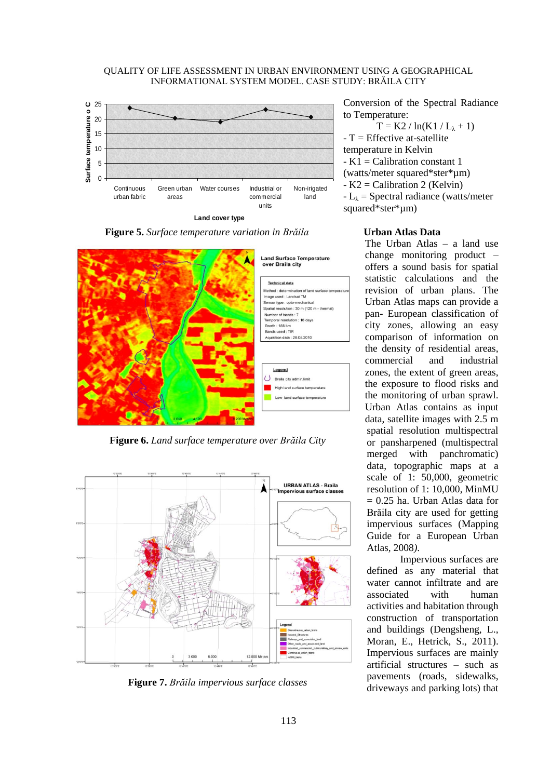## QUALITY OF LIFE ASSESSMENT IN URBAN ENVIRONMENT USING A GEOGRAPHICAL INFORMATIONAL SYSTEM MODEL. CASE STUDY: BRĂILA CITY **Surface temperature distribution of the study area**



**Figure 5.** *Surface temperature variation in Brăila*



**Figure 6.** *Land surface temperature over Brăila City*



**Figure 7.** *Brăila impervious surface classes*

Conversion of the Spectral Radiance to Temperature:

 $T = K2 / ln(K1 / L<sub>\lambda</sub> + 1)$  $-T =$  Effective at-satellite temperature in Kelvin - K1 = Calibration constant 1 (watts/meter squared\*ster\*µm) - K2 = Calibration 2 (Kelvin)  $-L_{\lambda}$  = Spectral radiance (watts/meter squared\*ster\*µm)

## **Urban Atlas Data**

The Urban Atlas – a land use change monitoring product – offers a sound basis for spatial statistic calculations and the revision of urban plans. The Urban Atlas maps can provide a pan- European classification of city zones, allowing an easy comparison of information on the density of residential areas, commercial and industrial zones, the extent of green areas, the exposure to flood risks and the monitoring of urban sprawl. Urban Atlas contains as input data, satellite images with 2.5 m spatial resolution multispectral or pansharpened (multispectral merged with panchromatic) data, topographic maps at a scale of 1: 50,000, geometric resolution of 1: 10,000, MinMU  $= 0.25$  ha. Urban Atlas data for Brăila city are used for getting impervious surfaces (Mapping Guide for a European Urban Atlas*,* 2008*)*.

Impervious surfaces are defined as any material that water cannot infiltrate and are associated with human activities and habitation through construction of transportation and buildings (Dengsheng, L., Moran, E., Hetrick, S., 2011). Impervious surfaces are mainly artificial structures – such as pavements (roads, sidewalks, driveways and parking lots) that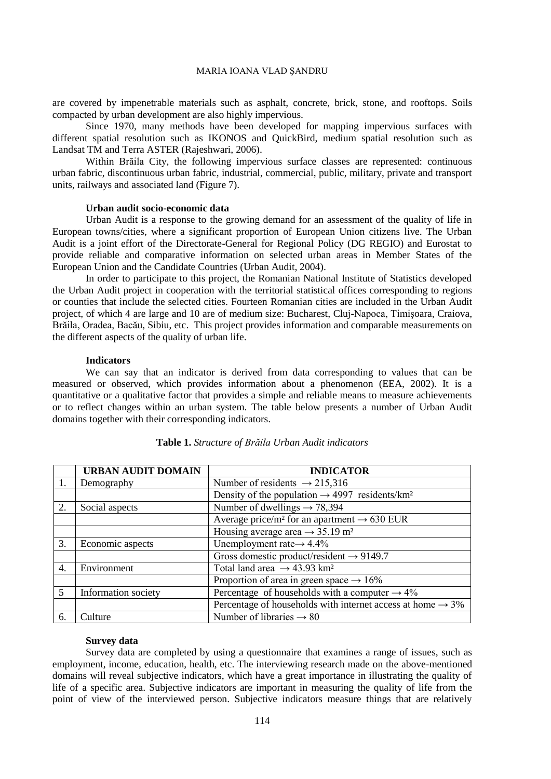are covered by impenetrable materials such as asphalt, concrete, brick, stone, and rooftops. Soils compacted by urban development are also highly impervious.

Since 1970, many methods have been developed for mapping impervious surfaces with different spatial resolution such as IKONOS and QuickBird, medium spatial resolution such as Landsat TM and Terra ASTER (Rajeshwari, 2006).

Within Brăila City, the following impervious surface classes are represented: continuous urban fabric, discontinuous urban fabric, industrial, commercial, public, military, private and transport units, railways and associated land (Figure 7).

## **Urban audit socio-economic data**

Urban Audit is a response to the growing demand for an assessment of the quality of life in European towns/cities, where a significant proportion of European Union citizens live. The Urban Audit is a joint effort of the Directorate-General for Regional Policy (DG REGIO) and Eurostat to provide reliable and comparative information on selected urban areas in Member States of the European Union and the Candidate Countries (Urban Audit, 2004).

In order to participate to this project, the Romanian National Institute of Statistics developed the Urban Audit project in cooperation with the territorial statistical offices corresponding to regions or counties that include the selected cities. Fourteen Romanian cities are included in the Urban Audit project, of which 4 are large and 10 are of medium size: Bucharest, Cluj-Napoca, Timişoara, Craiova, Brăila, Oradea, Bacău, Sibiu, etc. This project provides information and comparable measurements on the different aspects of the quality of urban life.

#### **Indicators**

We can say that an indicator is derived from data corresponding to values that can be measured or observed, which provides information about a phenomenon (EEA, 2002). It is a quantitative or a qualitative factor that provides a simple and reliable means to measure achievements or to reflect changes within an urban system. The table below presents a number of Urban Audit domains together with their corresponding indicators.

|    | <b>URBAN AUDIT DOMAIN</b> | <b>INDICATOR</b>                                                       |
|----|---------------------------|------------------------------------------------------------------------|
|    | Demography                | Number of residents $\rightarrow$ 215,316                              |
|    |                           | Density of the population $\rightarrow$ 4997 residents/km <sup>2</sup> |
| 2. | Social aspects            | Number of dwellings $\rightarrow$ 78,394                               |
|    |                           | Average price/m <sup>2</sup> for an apartment $\rightarrow$ 630 EUR    |
|    |                           | Housing average area $\rightarrow$ 35.19 m <sup>2</sup>                |
| 3. | Economic aspects          | Unemployment rate $\rightarrow$ 4.4%                                   |
|    |                           | Gross domestic product/resident $\rightarrow$ 9149.7                   |
| 4. | Environment               | Total land area $\rightarrow$ 43.93 km <sup>2</sup>                    |
|    |                           | Proportion of area in green space $\rightarrow$ 16%                    |
| 5  | Information society       | Percentage of households with a computer $\rightarrow$ 4%              |
|    |                           | Percentage of households with internet access at home $\rightarrow$ 3% |
| 6. | Culture                   | Number of libraries $\rightarrow 80$                                   |

## **Table 1.** *Structure of Brăila Urban Audit indicators*

#### **Survey data**

Survey data are completed by using a questionnaire that examines a range of issues, such as employment, income, education, health, etc. The interviewing research made on the above-mentioned domains will reveal subjective indicators, which have a great importance in illustrating the quality of life of a specific area. Subjective indicators are important in measuring the quality of life from the point of view of the interviewed person. Subjective indicators measure things that are relatively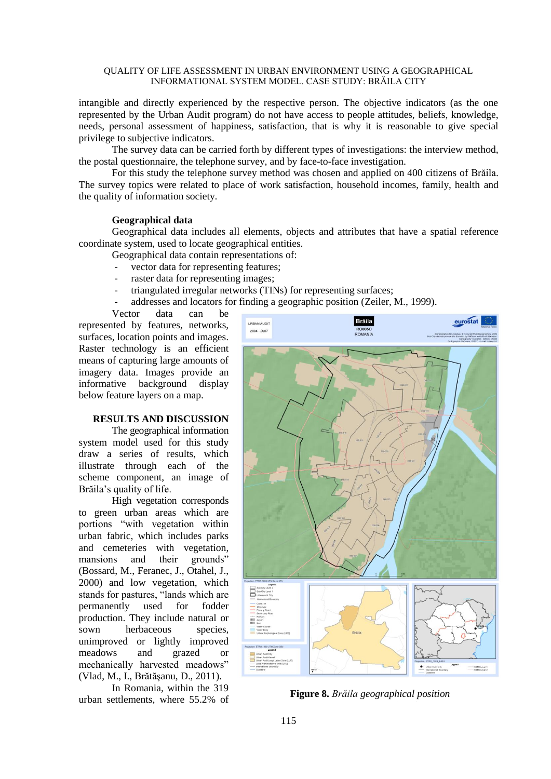## QUALITY OF LIFE ASSESSMENT IN URBAN ENVIRONMENT USING A GEOGRAPHICAL INFORMATIONAL SYSTEM MODEL. CASE STUDY: BRĂILA CITY

intangible and directly experienced by the respective person. The objective indicators (as the one represented by the Urban Audit program) do not have access to people attitudes, beliefs, knowledge, needs, personal assessment of happiness, satisfaction, that is why it is reasonable to give special privilege to subjective indicators.

The survey data can be carried forth by different types of investigations: the interview method, the postal questionnaire, the telephone survey, and by face-to-face investigation.

For this study the telephone survey method was chosen and applied on 400 citizens of Brăila. The survey topics were related to place of work satisfaction, household incomes, family, health and the quality of information society.

## **Geographical data**

Geographical data includes all elements, objects and attributes that have a spatial reference coordinate system, used to locate geographical entities.

- Geographical data contain representations of:
- vector data for representing features;
- raster data for representing images;
- triangulated irregular networks (TINs) for representing surfaces;
- addresses and locators for finding a geographic position (Zeiler, M., 1999).

Vector data can be represented by features, networks, surfaces, location points and images. Raster technology is an efficient means of capturing large amounts of imagery data. Images provide an informative background display below feature layers on a map.

## **RESULTS AND DISCUSSION**

The geographical information system model used for this study draw a series of results, which illustrate through each of the scheme component, an image of Brăila's quality of life.

High vegetation corresponds to green urban areas which are portions "with vegetation within urban fabric, which includes parks and cemeteries with vegetation, mansions and their grounds" (Bossard, M., Feranec, J., Otahel, J., 2000) and low vegetation, which stands for pastures, "lands which are permanently used for fodder production. They include natural or sown herbaceous species, unimproved or lightly improved meadows and grazed or mechanically harvested meadows" (Vlad, M., I., Brătăşanu, D., 2011).

In Romania, within the 319 urban settlements, where 55.2% of **Figure 8.** *Brăila geographical position*

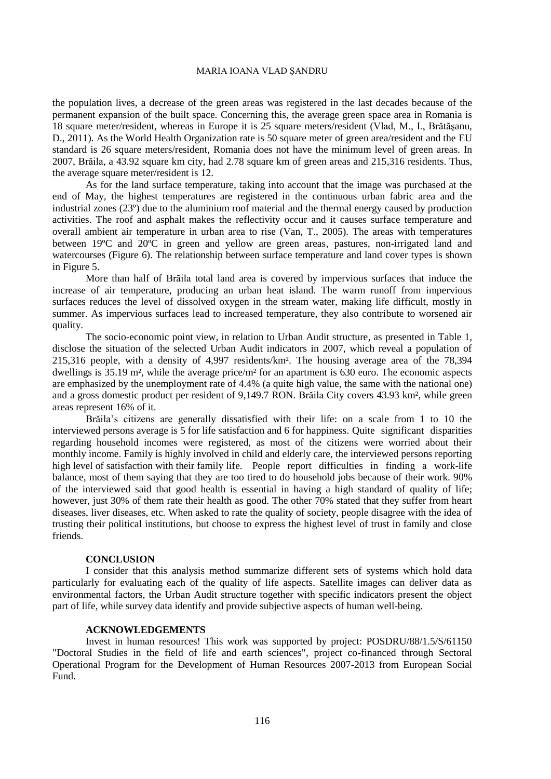the population lives, a decrease of the green areas was registered in the last decades because of the permanent expansion of the built space. Concerning this, the average green space area in Romania is 18 square meter/resident, whereas in Europe it is 25 square meters/resident (Vlad, M., I., Brătăşanu, D., 2011). As the World Health Organization rate is 50 square meter of green area/resident and the EU standard is 26 square meters/resident, Romania does not have the minimum level of green areas. In 2007, Brăila, a 43.92 square km city, had 2.78 square km of green areas and 215,316 residents. Thus, the average square meter/resident is 12.

As for the land surface temperature, taking into account that the image was purchased at the end of May, the highest temperatures are registered in the continuous urban fabric area and the industrial zones (23º) due to the aluminium roof material and the thermal energy caused by production activities. The roof and asphalt makes the reflectivity occur and it causes surface temperature and overall ambient air temperature in urban area to rise (Van, T., 2005). The areas with temperatures between 19ºC and 20ºC in green and yellow are green areas, pastures, non-irrigated land and watercourses (Figure 6). The relationship between surface temperature and land cover types is shown in Figure 5.

More than half of Brăila total land area is covered by impervious surfaces that induce the increase of air temperature, producing an urban heat island. The warm runoff from impervious surfaces reduces the level of dissolved oxygen in the stream water, making life difficult, mostly in summer. As impervious surfaces lead to increased temperature, they also contribute to worsened air quality.

The socio-economic point view, in relation to Urban Audit structure, as presented in Table 1, disclose the situation of the selected Urban Audit indicators in 2007, which reveal a population of 215,316 people, with a density of 4,997 residents/km². The housing average area of the 78,394 dwellings is 35.19 m<sup>2</sup>, while the average price/m<sup>2</sup> for an apartment is 630 euro. The economic aspects are emphasized by the unemployment rate of 4.4% (a quite high value, the same with the national one) and a gross domestic product per resident of 9,149.7 RON. Brăila City covers 43.93 km², while green areas represent 16% of it.

Brăila's citizens are generally dissatisfied with their life: on a scale from 1 to 10 the interviewed persons average is 5 for life satisfaction and 6 for happiness. Quite significant disparities regarding household incomes were registered, as most of the citizens were worried about their monthly income. Family is highly involved in child and elderly care, the interviewed persons reporting high level of satisfaction with their family life. People report difficulties in finding a work-life balance, most of them saying that they are too tired to do household jobs because of their work. 90% of the interviewed said that good health is essential in having a high standard of quality of life; however, just 30% of them rate their health as good. The other 70% stated that they suffer from heart diseases, liver diseases, etc. When asked to rate the quality of society, people disagree with the idea of trusting their political institutions, but choose to express the highest level of trust in family and close friends.

#### **CONCLUSION**

I consider that this analysis method summarize different sets of systems which hold data particularly for evaluating each of the quality of life aspects. Satellite images can deliver data as environmental factors, the Urban Audit structure together with specific indicators present the object part of life, while survey data identify and provide subjective aspects of human well-being.

## **ACKNOWLEDGEMENTS**

Invest in human resources! This work was supported by project: POSDRU/88/1.5/S/61150 "Doctoral Studies in the field of life and earth sciences", project co-financed through Sectoral Operational Program for the Development of Human Resources 2007-2013 from European Social Fund.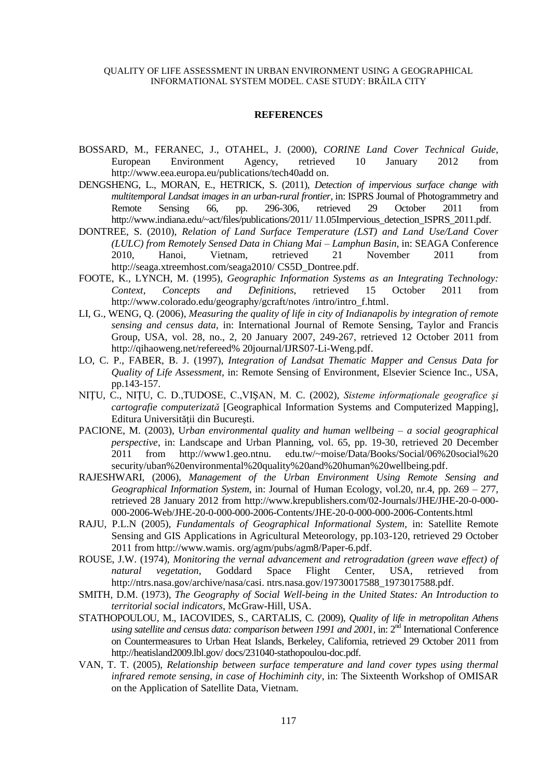## QUALITY OF LIFE ASSESSMENT IN URBAN ENVIRONMENT USING A GEOGRAPHICAL INFORMATIONAL SYSTEM MODEL. CASE STUDY: BRĂILA CITY

#### **REFERENCES**

- BOSSARD, M., FERANEC, J., OTAHEL, J. (2000), *CORINE Land Cover Technical Guide*, European Environment Agency, retrieved 10 January 2012 from http://www.eea.europa.eu/publications/tech40add on.
- DENGSHENG, L., MORAN, E., HETRICK, S. (2011), *Detection of impervious surface change with multitemporal Landsat images in an urban-rural frontier*, in: ISPRS Journal of Photogrammetry and Remote Sensing 66, pp. 296-306, retrieved 29 October 2011 from http://www.indiana.edu/~act/files/publications/2011/ 11.05Impervious detection ISPRS 2011.pdf.
- DONTREE, S. (2010), *Relation of Land Surface Temperature (LST) and Land Use/Land Cover (LULC) from Remotely Sensed Data in Chiang Mai – Lamphun Basin*, in: SEAGA Conference 2010, Hanoi, Vietnam, retrieved 21 November 2011 from http://seaga.xtreemhost.com/seaga2010/ CS5D\_Dontree.pdf.
- FOOTE, K., LYNCH, M. (1995), *Geographic Information Systems as an Integrating Technology: Context, Concepts and Definitions*, retrieved 15 October 2011 from http://www.colorado.edu/geography/gcraft/notes /intro/intro\_f.html.
- LI, G., WENG, Q. (2006), *Measuring the quality of life in city of Indianapolis by integration of remote sensing and census data,* in: International Journal of Remote Sensing, Taylor and Francis Group, USA, vol. 28, no., 2, 20 January 2007, 249-267, retrieved 12 October 2011 from http://qihaoweng.net/refereed% 20journal/IJRS07-Li-Weng.pdf.
- LO, C. P., FABER, B. J. (1997), *Integration of Landsat Thematic Mapper and Census Data for Quality of Life Assessment,* in: Remote Sensing of Environment, Elsevier Science Inc., USA, pp.143-157.
- NIŢU, C., NIŢU, C. D.,TUDOSE, C.,VIŞAN, M. C. (2002), *Sisteme informaţionale geografice şi cartografie computerizată* [Geographical Information Systems and Computerized Mapping], Editura Universităţii din Bucureşti.
- PACIONE, M. (2003), U*rban environmental quality and human wellbeing – a social geographical perspective*, in: Landscape and Urban Planning, vol. 65, pp. 19-30, retrieved 20 December 2011 from http://www1.geo.ntnu. edu.tw/~moise/Data/Books/Social/06%20social%20 security/uban%20environmental%20quality%20and%20human%20wellbeing.pdf.
- RAJESHWARI, (2006), *Management of the Urban Environment Using Remote Sensing and Geographical Information System*, in: Journal of Human Ecology, vol.20, nr.4, pp. 269 – 277, retrieved 28 January 2012 from http://www.krepublishers.com/02-Journals/JHE/JHE-20-0-000- 000-2006-Web/JHE-20-0-000-000-2006-Contents/JHE-20-0-000-000-2006-Contents.html
- RAJU, P.L.N (2005), *Fundamentals of Geographical Informational System,* in: Satellite Remote Sensing and GIS Applications in Agricultural Meteorology, pp.103-120, retrieved 29 October 2011 from http://www.wamis. org/agm/pubs/agm8/Paper-6.pdf.
- ROUSE, J.W. (1974), *Monitoring the vernal advancement and retrogradation (green wave effect) of natural vegetation*, Goddard Space Flight Center, USA, retrieved from http://ntrs.nasa.gov/archive/nasa/casi. ntrs.nasa.gov/19730017588\_1973017588.pdf.
- SMITH, D.M. (1973), *The Geography of Social Well-being in the United States: An Introduction to territorial social indicators*, McGraw-Hill, USA.
- STATHOPOULOU, M., IACOVIDES, S., CARTALIS, C. (2009), *Quality of life in metropolitan Athens*  using satellite and census data: comparison between 1991 and 2001, in: 2<sup>nd</sup> International Conference on Countermeasures to Urban Heat Islands, Berkeley, California, retrieved 29 October 2011 from http://heatisland2009.lbl.gov/ docs/231040-stathopoulou-doc.pdf.
- VAN, T. T. (2005), *Relationship between surface temperature and land cover types using thermal infrared remote sensing, in case of Hochiminh city*, in: The Sixteenth Workshop of OMISAR on the Application of Satellite Data, Vietnam.